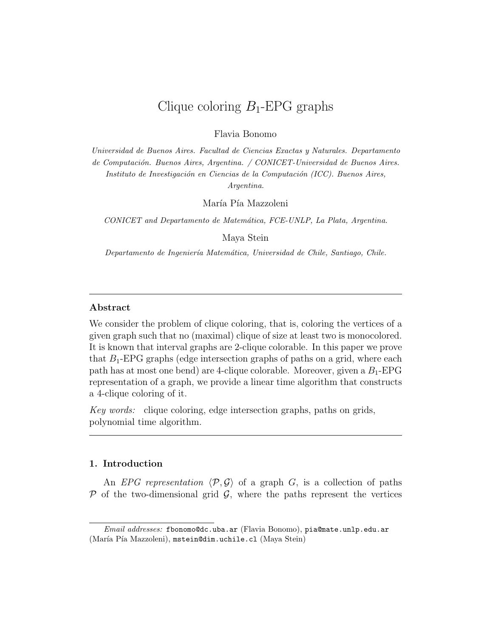# Clique coloring *B*1-EPG graphs

Flavia Bonomo

*Universidad de Buenos Aires. Facultad de Ciencias Exactas y Naturales. Departamento de Computaci´on. Buenos Aires, Argentina. / CONICET-Universidad de Buenos Aires. Instituto de Investigación en Ciencias de la Computación (ICC). Buenos Aires, Argentina.*

María Pía Mazzoleni

*CONICET and Departamento de Matem´atica, FCE-UNLP, La Plata, Argentina.*

Maya Stein

*Departamento de Ingenier´ıa Matem´atica, Universidad de Chile, Santiago, Chile.*

# **Abstract**

We consider the problem of clique coloring, that is, coloring the vertices of a given graph such that no (maximal) clique of size at least two is monocolored. It is known that interval graphs are 2-clique colorable. In this paper we prove that  $B_1$ -EPG graphs (edge intersection graphs of paths on a grid, where each path has at most one bend) are 4-clique colorable. Moreover, given a *B*1-EPG representation of a graph, we provide a linear time algorithm that constructs a 4-clique coloring of it.

*Key words:* clique coloring, edge intersection graphs, paths on grids, polynomial time algorithm.

# **1. Introduction**

An *EPG representation*  $\langle \mathcal{P}, \mathcal{G} \rangle$  of a graph *G*, is a collection of paths  $P$  of the two-dimensional grid  $G$ , where the paths represent the vertices

*Email addresses:* fbonomo@dc.uba.ar (Flavia Bonomo), pia@mate.unlp.edu.ar (María Pía Mazzoleni), mstein@dim.uchile.cl (Maya Stein)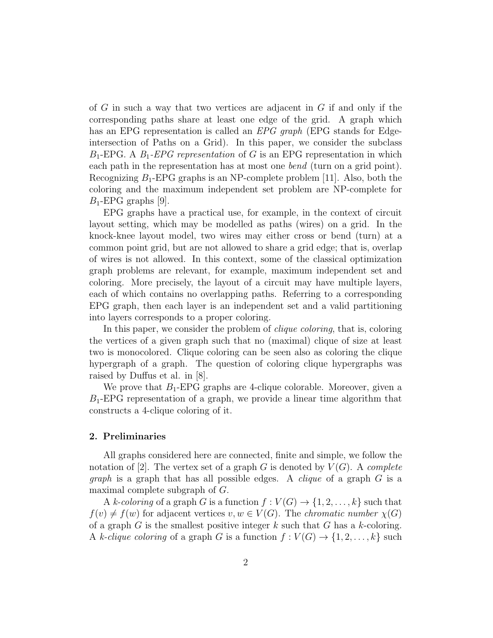of *G* in such a way that two vertices are adjacent in *G* if and only if the corresponding paths share at least one edge of the grid. A graph which has an EPG representation is called an *EPG graph* (EPG stands for Edgeintersection of Paths on a Grid). In this paper, we consider the subclass *B*1-EPG. A *B*1*-EPG representation* of *G* is an EPG representation in which each path in the representation has at most one *bend* (turn on a grid point). Recognizing *B*1-EPG graphs is an NP-complete problem [11]. Also, both the coloring and the maximum independent set problem are NP-complete for *B*1-EPG graphs [9].

EPG graphs have a practical use, for example, in the context of circuit layout setting, which may be modelled as paths (wires) on a grid. In the knock-knee layout model, two wires may either cross or bend (turn) at a common point grid, but are not allowed to share a grid edge; that is, overlap of wires is not allowed. In this context, some of the classical optimization graph problems are relevant, for example, maximum independent set and coloring. More precisely, the layout of a circuit may have multiple layers, each of which contains no overlapping paths. Referring to a corresponding EPG graph, then each layer is an independent set and a valid partitioning into layers corresponds to a proper coloring.

In this paper, we consider the problem of *clique coloring*, that is, coloring the vertices of a given graph such that no (maximal) clique of size at least two is monocolored. Clique coloring can be seen also as coloring the clique hypergraph of a graph. The question of coloring clique hypergraphs was raised by Duffus et al. in [8].

We prove that  $B_1$ -EPG graphs are 4-clique colorable. Moreover, given a *B*1-EPG representation of a graph, we provide a linear time algorithm that constructs a 4-clique coloring of it.

# **2. Preliminaries**

All graphs considered here are connected, finite and simple, we follow the notation of  $[2]$ . The vertex set of a graph *G* is denoted by  $V(G)$ . A *complete graph* is a graph that has all possible edges. A *clique* of a graph *G* is a maximal complete subgraph of *G*.

A *k*-coloring of a graph *G* is a function  $f: V(G) \to \{1, 2, ..., k\}$  such that  $f(v) \neq f(w)$  for adjacent vertices  $v, w \in V(G)$ . The *chromatic number*  $\chi(G)$ of a graph *G* is the smallest positive integer *k* such that *G* has a *k*-coloring. A *k*-*clique coloring* of a graph *G* is a function  $f: V(G) \rightarrow \{1, 2, \ldots, k\}$  such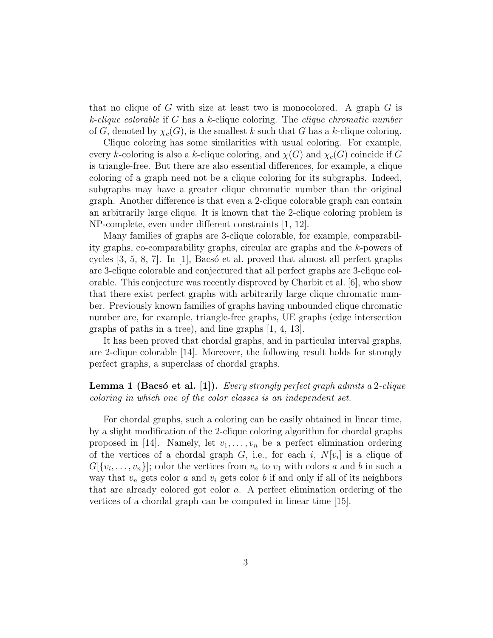that no clique of *G* with size at least two is monocolored. A graph *G* is *k-clique colorable* if *G* has a *k*-clique coloring. The *clique chromatic number* of *G*, denoted by  $\chi_c(G)$ , is the smallest *k* such that *G* has a *k*-clique coloring.

Clique coloring has some similarities with usual coloring. For example, every *k*-coloring is also a *k*-clique coloring, and  $\chi(G)$  and  $\chi_c(G)$  coincide if *G* is triangle-free. But there are also essential differences, for example, a clique coloring of a graph need not be a clique coloring for its subgraphs. Indeed, subgraphs may have a greater clique chromatic number than the original graph. Another difference is that even a 2-clique colorable graph can contain an arbitrarily large clique. It is known that the 2-clique coloring problem is NP-complete, even under different constraints [1, 12].

Many families of graphs are 3-clique colorable, for example, comparability graphs, co-comparability graphs, circular arc graphs and the *k*-powers of cycles  $[3, 5, 8, 7]$ . In  $[1]$ , Bacsó et al. proved that almost all perfect graphs are 3-clique colorable and conjectured that all perfect graphs are 3-clique colorable. This conjecture was recently disproved by Charbit et al. [6], who show that there exist perfect graphs with arbitrarily large clique chromatic number. Previously known families of graphs having unbounded clique chromatic number are, for example, triangle-free graphs, UE graphs (edge intersection graphs of paths in a tree), and line graphs [1, 4, 13].

It has been proved that chordal graphs, and in particular interval graphs, are 2-clique colorable [14]. Moreover, the following result holds for strongly perfect graphs, a superclass of chordal graphs.

# **Lemma 1 (Bacsó et al. [1]).** *Every strongly perfect graph admits a* 2-*clique coloring in which one of the color classes is an independent set.*

For chordal graphs, such a coloring can be easily obtained in linear time, by a slight modification of the 2-clique coloring algorithm for chordal graphs proposed in [14]. Namely, let  $v_1, \ldots, v_n$  be a perfect elimination ordering of the vertices of a chordal graph  $G$ , i.e., for each *i*,  $N[v_i]$  is a clique of  $G[\{v_i, \ldots, v_n\}]$ ; color the vertices from  $v_n$  to  $v_1$  with colors *a* and *b* in such a way that  $v_n$  gets color  $a$  and  $v_i$  gets color  $b$  if and only if all of its neighbors that are already colored got color *a*. A perfect elimination ordering of the vertices of a chordal graph can be computed in linear time [15].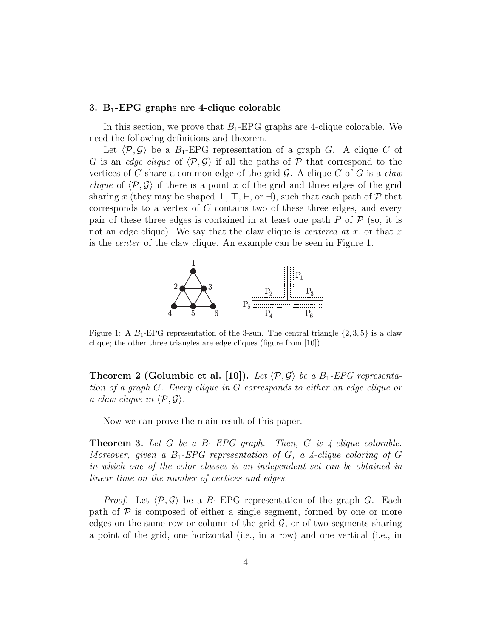#### **3. B1-EPG graphs are 4-clique colorable**

In this section, we prove that *B*1-EPG graphs are 4-clique colorable. We need the following definitions and theorem.

Let  $\langle \mathcal{P}, \mathcal{G} \rangle$  be a  $B_1$ -EPG representation of a graph *G*. A clique *C* of *G* is an *edge clique* of *⟨P, G⟩* if all the paths of *P* that correspond to the vertices of *C* share a common edge of the grid *G*. A clique *C* of *G* is a *claw clique* of  $\langle P, \mathcal{G} \rangle$  if there is a point *x* of the grid and three edges of the grid sharing x (they may be shaped  $\perp$ ,  $\top$ ,  $\vdash$ , or  $\dashv$ ), such that each path of  $\mathcal{P}$  that corresponds to a vertex of *C* contains two of these three edges, and every pair of these three edges is contained in at least one path  $P$  of  $P$  (so, it is not an edge clique). We say that the claw clique is *centered at x*, or that *x* is the *center* of the claw clique. An example can be seen in Figure 1.



Figure 1: A  $B_1$ -EPG representation of the 3-sun. The central triangle  $\{2, 3, 5\}$  is a claw clique; the other three triangles are edge cliques (figure from [10]).

**Theorem 2 (Golumbic et al. [10]).** *Let*  $\langle P, \mathcal{G} \rangle$  *be a*  $B_1$ -*EPG representation of a graph G. Every clique in G corresponds to either an edge clique or a claw clique in*  $\langle \mathcal{P}, \mathcal{G} \rangle$ .

Now we can prove the main result of this paper.

**Theorem 3.** *Let G be a B*1*-EPG graph. Then, G is 4-clique colorable. Moreover, given a*  $B_1$ -*EPG representation of G, a 4-clique coloring of G in which one of the color classes is an independent set can be obtained in linear time on the number of vertices and edges.*

*Proof.* Let  $\langle \mathcal{P}, \mathcal{G} \rangle$  be a  $B_1$ -EPG representation of the graph *G*. Each path of  $P$  is composed of either a single segment, formed by one or more edges on the same row or column of the grid  $G$ , or of two segments sharing a point of the grid, one horizontal (i.e., in a row) and one vertical (i.e., in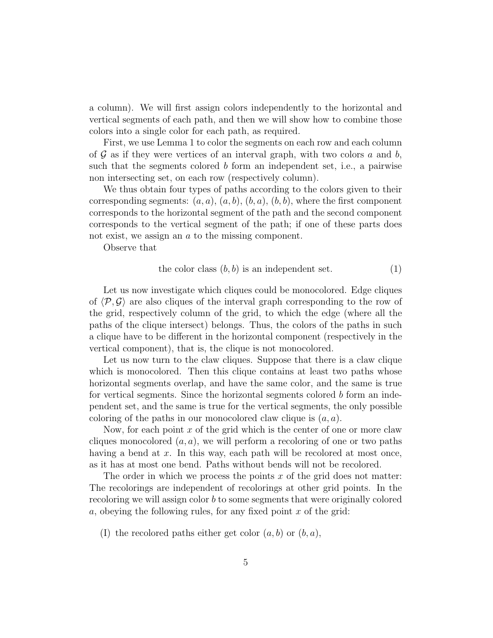a column). We will first assign colors independently to the horizontal and vertical segments of each path, and then we will show how to combine those colors into a single color for each path, as required.

First, we use Lemma 1 to color the segments on each row and each column of *G* as if they were vertices of an interval graph, with two colors *a* and *b*, such that the segments colored *b* form an independent set, i.e., a pairwise non intersecting set, on each row (respectively column).

We thus obtain four types of paths according to the colors given to their corresponding segments:  $(a, a)$ ,  $(a, b)$ ,  $(b, a)$ ,  $(b, b)$ , where the first component corresponds to the horizontal segment of the path and the second component corresponds to the vertical segment of the path; if one of these parts does not exist, we assign an *a* to the missing component.

Observe that

the color class 
$$
(b, b)
$$
 is an independent set.  $(1)$ 

Let us now investigate which cliques could be monocolored. Edge cliques of  $\langle \mathcal{P}, \mathcal{G} \rangle$  are also cliques of the interval graph corresponding to the row of the grid, respectively column of the grid, to which the edge (where all the paths of the clique intersect) belongs. Thus, the colors of the paths in such a clique have to be different in the horizontal component (respectively in the vertical component), that is, the clique is not monocolored.

Let us now turn to the claw cliques. Suppose that there is a claw clique which is monocolored. Then this clique contains at least two paths whose horizontal segments overlap, and have the same color, and the same is true for vertical segments. Since the horizontal segments colored *b* form an independent set, and the same is true for the vertical segments, the only possible coloring of the paths in our monocolored claw clique is (*a, a*).

Now, for each point x of the grid which is the center of one or more claw cliques monocolored  $(a, a)$ , we will perform a recoloring of one or two paths having a bend at x. In this way, each path will be recolored at most once, as it has at most one bend. Paths without bends will not be recolored.

The order in which we process the points *x* of the grid does not matter: The recolorings are independent of recolorings at other grid points. In the recoloring we will assign color *b* to some segments that were originally colored *a*, obeying the following rules, for any fixed point *x* of the grid:

(I) the recolored paths either get color (*a, b*) or (*b, a*),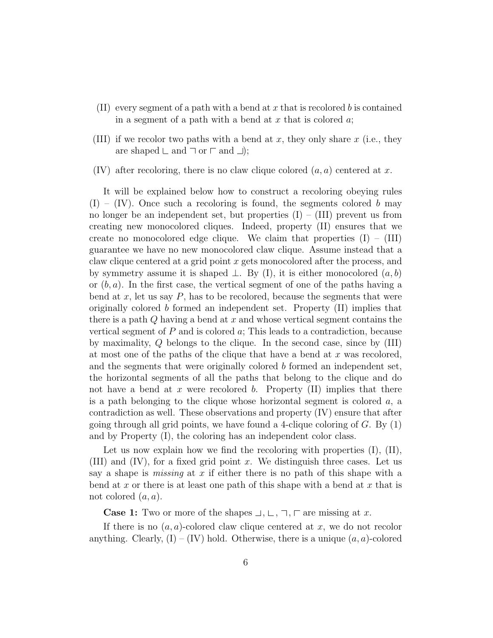- (II) every segment of a path with a bend at *x* that is recolored *b* is contained in a segment of a path with a bend at *x* that is colored *a*;
- (III) if we recolor two paths with a bend at *x*, they only share *x* (i.e., they are shaped  $\sqsubset$  and  $\sqsupset$  or  $\sqsubset$  and  $\sqsupset$ ;
- (IV) after recoloring, there is no claw clique colored (*a, a*) centered at *x*.

It will be explained below how to construct a recoloring obeying rules  $(I) - (IV)$ . Once such a recoloring is found, the segments colored *b* may no longer be an independent set, but properties  $(I) - (III)$  prevent us from creating new monocolored cliques. Indeed, property (II) ensures that we create no monocolored edge clique. We claim that properties  $(I) - (III)$ guarantee we have no new monocolored claw clique. Assume instead that a claw clique centered at a grid point *x* gets monocolored after the process, and by symmetry assume it is shaped *⊥*. By (I), it is either monocolored (*a, b*) or (*b, a*). In the first case, the vertical segment of one of the paths having a bend at  $x$ , let us say  $P$ , has to be recolored, because the segments that were originally colored *b* formed an independent set. Property (II) implies that there is a path *Q* having a bend at *x* and whose vertical segment contains the vertical segment of *P* and is colored *a*; This leads to a contradiction, because by maximality, *Q* belongs to the clique. In the second case, since by (III) at most one of the paths of the clique that have a bend at *x* was recolored, and the segments that were originally colored *b* formed an independent set, the horizontal segments of all the paths that belong to the clique and do not have a bend at *x* were recolored *b*. Property (II) implies that there is a path belonging to the clique whose horizontal segment is colored *a*, a contradiction as well. These observations and property (IV) ensure that after going through all grid points, we have found a 4-clique coloring of *G*. By (1) and by Property (I), the coloring has an independent color class.

Let us now explain how we find the recoloring with properties  $(I)$ ,  $(II)$ , (III) and (IV), for a fixed grid point *x*. We distinguish three cases. Let us say a shape is *missing* at *x* if either there is no path of this shape with a bend at *x* or there is at least one path of this shape with a bend at *x* that is not colored (*a, a*).

**Case 1:** Two or more of the shapes  $\bot, \bot, \top, \top$  are missing at *x*.

If there is no  $(a, a)$ -colored claw clique centered at  $x$ , we do not recolor anything. Clearly,  $(I) - (IV)$  hold. Otherwise, there is a unique  $(a, a)$ -colored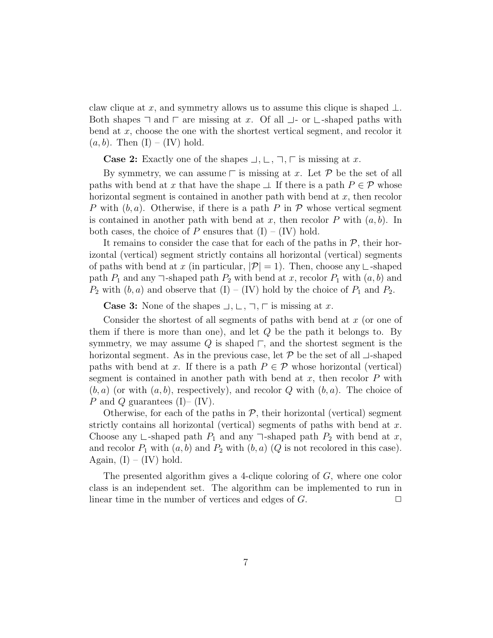claw clique at *x*, and symmetry allows us to assume this clique is shaped *⊥*. Both shapes  $\sqsupset$  and  $\sqsubset$  are missing at *x*. Of all  $\sqcup$ - or  $\sqsubset$ -shaped paths with bend at *x*, choose the one with the shortest vertical segment, and recolor it  $(a, b)$ . Then  $(I) - (IV)$  hold.

**Case 2:** Exactly one of the shapes  $\Box, \Box, \Box, \Box$  is missing at *x*.

By symmetry, we can assume  $\Gamma$  is missing at *x*. Let  $\mathcal P$  be the set of all paths with bend at *x* that have the shape  $\perp$ . If there is a path  $P \in \mathcal{P}$  whose horizontal segment is contained in another path with bend at *x*, then recolor *P* with (*b, a*). Otherwise, if there is a path *P* in *P* whose vertical segment is contained in another path with bend at  $x$ , then recolor  $P$  with  $(a, b)$ . In both cases, the choice of *P* ensures that  $(I) - (IV)$  hold.

It remains to consider the case that for each of the paths in  $P$ , their horizontal (vertical) segment strictly contains all horizontal (vertical) segments of paths with bend at *x* (in particular,  $|\mathcal{P}| = 1$ ). Then, choose any  $\sqsubset$ -shaped path  $P_1$  and any  $\exists$ -shaped path  $P_2$  with bend at *x*, recolor  $P_1$  with  $(a, b)$  and  $P_2$  with  $(b, a)$  and observe that  $(I) - (IV)$  hold by the choice of  $P_1$  and  $P_2$ .

**Case 3:** None of the shapes  $\Box, \Box, \Box, \Box$  is missing at *x*.

Consider the shortest of all segments of paths with bend at *x* (or one of them if there is more than one), and let *Q* be the path it belongs to. By symmetry, we may assume  $Q$  is shaped  $\sqsubset$ , and the shortest segment is the horizontal segment. As in the previous case, let  $P$  be the set of all  $\perp$ -shaped paths with bend at *x*. If there is a path  $P \in \mathcal{P}$  whose horizontal (vertical) segment is contained in another path with bend at *x*, then recolor *P* with  $(b, a)$  (or with  $(a, b)$ , respectively), and recolor  $Q$  with  $(b, a)$ . The choice of *P* and *Q* guarantees (I)– (IV).

Otherwise, for each of the paths in  $P$ , their horizontal (vertical) segment strictly contains all horizontal (vertical) segments of paths with bend at *x*. Choose any  $\Box$ -shaped path  $P_1$  and any  $\Box$ -shaped path  $P_2$  with bend at *x*, and recolor  $P_1$  with  $(a, b)$  and  $P_2$  with  $(b, a)$   $(Q$  is not recolored in this case). Again,  $(I) - (IV)$  hold.

The presented algorithm gives a 4-clique coloring of *G*, where one color class is an independent set. The algorithm can be implemented to run in linear time in the number of vertices and edges of  $G$ .  $\Box$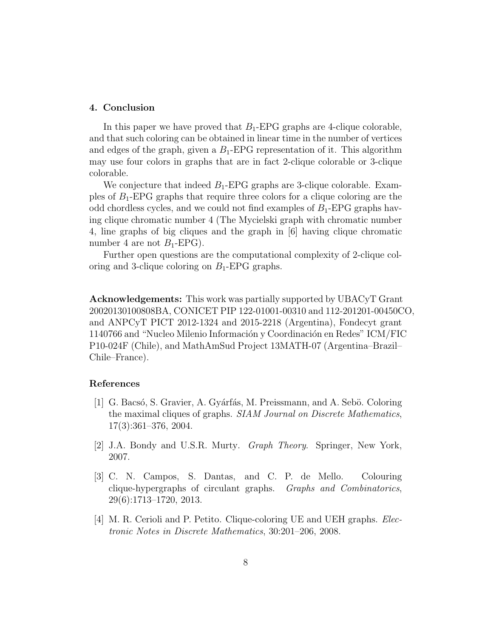### **4. Conclusion**

In this paper we have proved that  $B_1$ -EPG graphs are 4-clique colorable, and that such coloring can be obtained in linear time in the number of vertices and edges of the graph, given a  $B_1$ -EPG representation of it. This algorithm may use four colors in graphs that are in fact 2-clique colorable or 3-clique colorable.

We conjecture that indeed  $B_1$ -EPG graphs are 3-clique colorable. Examples of *B*1-EPG graphs that require three colors for a clique coloring are the odd chordless cycles, and we could not find examples of  $B_1$ -EPG graphs having clique chromatic number 4 (The Mycielski graph with chromatic number 4, line graphs of big cliques and the graph in [6] having clique chromatic number 4 are not  $B_1$ -EPG).

Further open questions are the computational complexity of 2-clique coloring and 3-clique coloring on  $B_1$ -EPG graphs.

**Acknowledgements:** This work was partially supported by UBACyT Grant 20020130100808BA, CONICET PIP 122-01001-00310 and 112-201201-00450CO, and ANPCyT PICT 2012-1324 and 2015-2218 (Argentina), Fondecyt grant 1140766 and "Nucleo Milenio Información y Coordinación en Redes" ICM/FIC P10-024F (Chile), and MathAmSud Project 13MATH-07 (Argentina–Brazil– Chile–France).

# **References**

- [1] G. Bacsó, S. Gravier, A. Gyárfás, M. Preissmann, and A. Sebö. Coloring the maximal cliques of graphs. *SIAM Journal on Discrete Mathematics*, 17(3):361–376, 2004.
- [2] J.A. Bondy and U.S.R. Murty. *Graph Theory*. Springer, New York, 2007.
- [3] C. N. Campos, S. Dantas, and C. P. de Mello. Colouring clique-hypergraphs of circulant graphs. *Graphs and Combinatorics*, 29(6):1713–1720, 2013.
- [4] M. R. Cerioli and P. Petito. Clique-coloring UE and UEH graphs. *Electronic Notes in Discrete Mathematics*, 30:201–206, 2008.